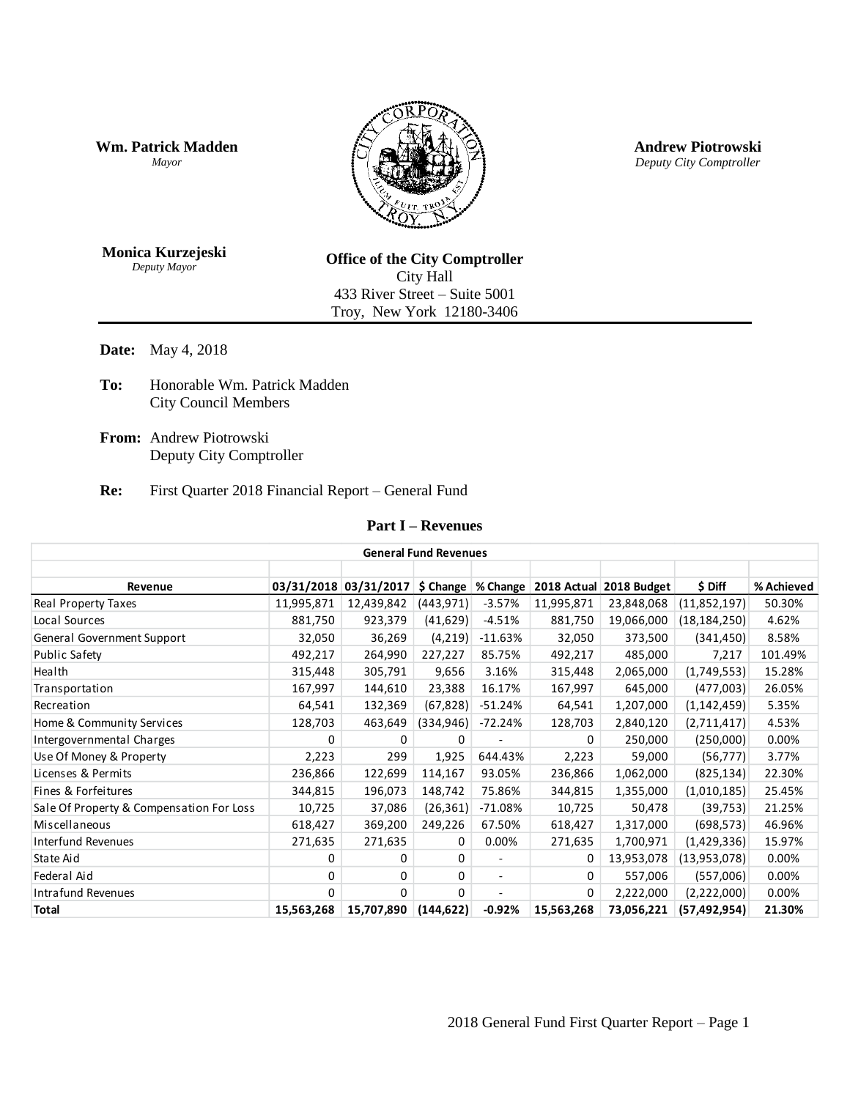**Wm. Patrick Madden** *Mayor*



**Andrew Piotrowski** *Deputy City Comptroller*

**Monica Kurzejeski** *Deputy Mayor*

**Office of the City Comptroller** City Hall 433 River Street – Suite 5001 Troy, New York 12180-3406

**Date:** May 4, 2018

- **To:** Honorable Wm. Patrick Madden City Council Members
- **From:** Andrew Piotrowski Deputy City Comptroller
- **Re:** First Quarter 2018 Financial Report General Fund

### **Part I – Revenues**

| <b>General Fund Revenues</b>             |            |                       |            |            |            |                                                  |                |            |  |
|------------------------------------------|------------|-----------------------|------------|------------|------------|--------------------------------------------------|----------------|------------|--|
|                                          |            |                       |            |            |            |                                                  |                |            |  |
| Revenue                                  |            | 03/31/2018 03/31/2017 |            |            |            | \$ Change   % Change   2018 Actual   2018 Budget | \$ Diff        | % Achieved |  |
| Real Property Taxes                      | 11,995,871 | 12,439,842            | (443, 971) | $-3.57%$   | 11,995,871 | 23,848,068                                       | (11,852,197)   | 50.30%     |  |
| Local Sources                            | 881,750    | 923,379               | (41, 629)  | $-4.51%$   | 881,750    | 19,066,000                                       | (18, 184, 250) | 4.62%      |  |
| General Government Support               | 32,050     | 36,269                | (4,219)    | $-11.63%$  | 32,050     | 373,500                                          | (341, 450)     | 8.58%      |  |
| Public Safety                            | 492,217    | 264,990               | 227,227    | 85.75%     | 492,217    | 485,000                                          | 7,217          | 101.49%    |  |
| Health                                   | 315,448    | 305,791               | 9,656      | 3.16%      | 315,448    | 2,065,000                                        | (1,749,553)    | 15.28%     |  |
| Transportation                           | 167,997    | 144,610               | 23,388     | 16.17%     | 167,997    | 645,000                                          | (477,003)      | 26.05%     |  |
| Recreation                               | 64,541     | 132,369               | (67, 828)  | $-51.24%$  | 64,541     | 1,207,000                                        | (1, 142, 459)  | 5.35%      |  |
| Home & Community Services                | 128,703    | 463,649               | (334, 946) | $-72.24%$  | 128,703    | 2,840,120                                        | (2,711,417)    | 4.53%      |  |
| Intergovernmental Charges                | 0          | 0                     | 0          |            | 0          | 250,000                                          | (250,000)      | 0.00%      |  |
| Use Of Money & Property                  | 2,223      | 299                   | 1,925      | 644.43%    | 2,223      | 59,000                                           | (56, 777)      | 3.77%      |  |
| Licenses & Permits                       | 236,866    | 122,699               | 114,167    | 93.05%     | 236,866    | 1,062,000                                        | (825, 134)     | 22.30%     |  |
| Fines & Forfeitures                      | 344,815    | 196,073               | 148,742    | 75.86%     | 344,815    | 1,355,000                                        | (1,010,185)    | 25.45%     |  |
| Sale Of Property & Compensation For Loss | 10,725     | 37,086                | (26, 361)  | $-71.08\%$ | 10,725     | 50,478                                           | (39, 753)      | 21.25%     |  |
| Miscellaneous                            | 618,427    | 369,200               | 249,226    | 67.50%     | 618,427    | 1,317,000                                        | (698, 573)     | 46.96%     |  |
| <b>Interfund Revenues</b>                | 271,635    | 271,635               | 0          | 0.00%      | 271,635    | 1,700,971                                        | (1,429,336)    | 15.97%     |  |
| State Aid                                | 0          | 0                     | 0          |            | 0          | 13,953,078                                       | (13,953,078)   | 0.00%      |  |
| Federal Aid                              | 0          | 0                     | 0          | $\sim$     | 0          | 557,006                                          | (557,006)      | 0.00%      |  |
| Intrafund Revenues                       | 0          | 0                     | 0          |            | 0          | 2,222,000                                        | (2,222,000)    | 0.00%      |  |
| <b>Total</b>                             | 15,563,268 | 15,707,890            | (144, 622) | $-0.92%$   | 15,563,268 | 73,056,221                                       | (57, 492, 954) | 21.30%     |  |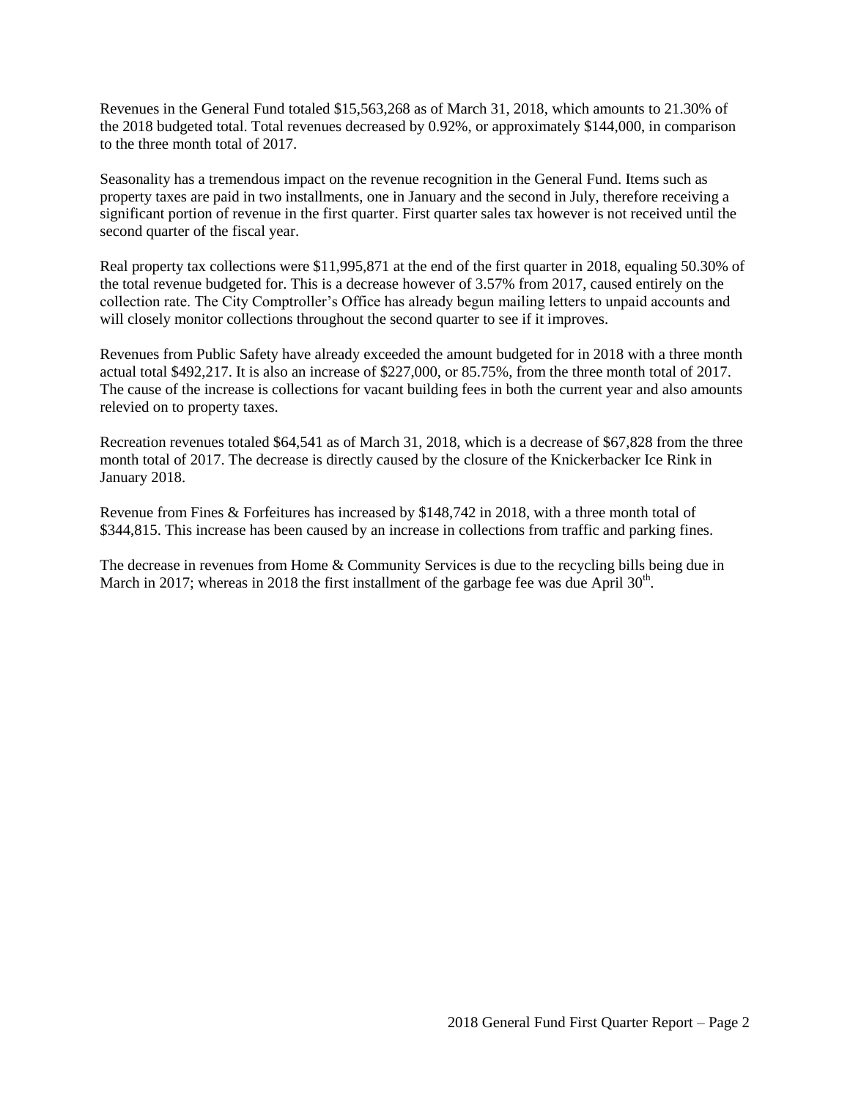Revenues in the General Fund totaled \$15,563,268 as of March 31, 2018, which amounts to 21.30% of the 2018 budgeted total. Total revenues decreased by 0.92%, or approximately \$144,000, in comparison to the three month total of 2017.

Seasonality has a tremendous impact on the revenue recognition in the General Fund. Items such as property taxes are paid in two installments, one in January and the second in July, therefore receiving a significant portion of revenue in the first quarter. First quarter sales tax however is not received until the second quarter of the fiscal year.

Real property tax collections were \$11,995,871 at the end of the first quarter in 2018, equaling 50.30% of the total revenue budgeted for. This is a decrease however of 3.57% from 2017, caused entirely on the collection rate. The City Comptroller's Office has already begun mailing letters to unpaid accounts and will closely monitor collections throughout the second quarter to see if it improves.

Revenues from Public Safety have already exceeded the amount budgeted for in 2018 with a three month actual total \$492,217. It is also an increase of \$227,000, or 85.75%, from the three month total of 2017. The cause of the increase is collections for vacant building fees in both the current year and also amounts relevied on to property taxes.

Recreation revenues totaled \$64,541 as of March 31, 2018, which is a decrease of \$67,828 from the three month total of 2017. The decrease is directly caused by the closure of the Knickerbacker Ice Rink in January 2018.

Revenue from Fines & Forfeitures has increased by \$148,742 in 2018, with a three month total of \$344,815. This increase has been caused by an increase in collections from traffic and parking fines.

The decrease in revenues from Home & Community Services is due to the recycling bills being due in March in 2017; whereas in 2018 the first installment of the garbage fee was due April  $30<sup>th</sup>$ .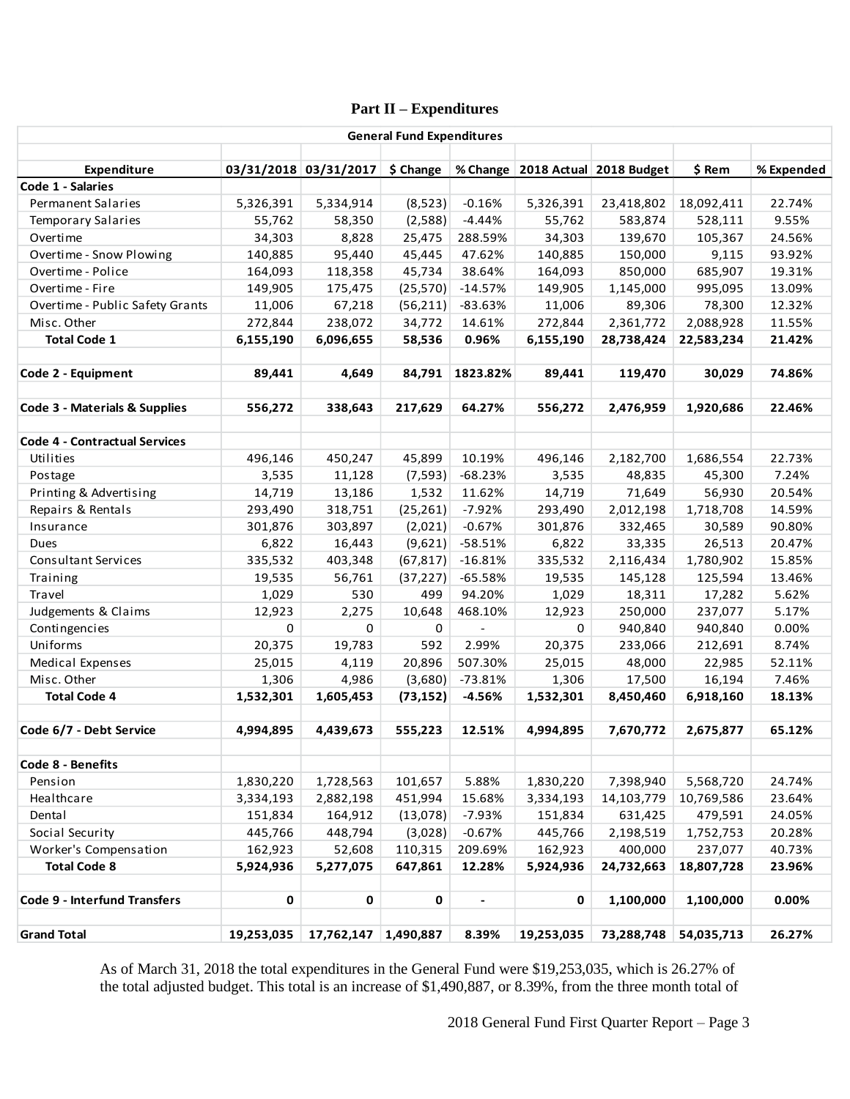# **Part II – Expenditures**

| <b>General Fund Expenditures</b>         |            |                        |           |                          |            |                                      |            |                 |
|------------------------------------------|------------|------------------------|-----------|--------------------------|------------|--------------------------------------|------------|-----------------|
|                                          |            |                        |           |                          |            |                                      |            |                 |
| <b>Expenditure</b><br>Code 1 - Salaries  |            | 03/31/2018 03/31/2017  | \$ Change |                          |            | % Change   2018 Actual   2018 Budget | \$ Rem     | % Expended      |
|                                          |            |                        |           |                          |            |                                      |            |                 |
| Permanent Salaries                       | 5,326,391  | 5,334,914              | (8,523)   | $-0.16%$<br>$-4.44%$     | 5,326,391  | 23,418,802                           | 18,092,411 | 22.74%<br>9.55% |
| <b>Temporary Salaries</b>                | 55,762     | 58,350                 | (2,588)   |                          | 55,762     | 583,874                              | 528,111    |                 |
| Overtime                                 | 34,303     | 8,828                  | 25,475    | 288.59%                  | 34,303     | 139,670                              | 105,367    | 24.56%          |
| Overtime - Snow Plowing                  | 140,885    | 95,440                 | 45,445    | 47.62%                   | 140,885    | 150,000                              | 9,115      | 93.92%          |
| Overtime - Police                        | 164,093    | 118,358                | 45,734    | 38.64%                   | 164,093    | 850,000                              | 685,907    | 19.31%          |
| Overtime - Fire                          | 149,905    | 175,475                | (25,570)  | $-14.57%$                | 149,905    | 1,145,000                            | 995,095    | 13.09%          |
| Overtime - Public Safety Grants          | 11,006     | 67,218                 | (56, 211) | $-83.63%$                | 11,006     | 89,306                               | 78,300     | 12.32%          |
| Misc. Other                              | 272,844    | 238,072                | 34,772    | 14.61%                   | 272,844    | 2,361,772                            | 2,088,928  | 11.55%          |
| <b>Total Code 1</b>                      | 6,155,190  | 6,096,655              | 58,536    | 0.96%                    | 6,155,190  | 28,738,424                           | 22,583,234 | 21.42%          |
| Code 2 - Equipment                       | 89,441     | 4,649                  | 84,791    | 1823.82%                 | 89,441     | 119,470                              | 30,029     | 74.86%          |
| <b>Code 3 - Materials &amp; Supplies</b> | 556,272    | 338,643                | 217,629   | 64.27%                   | 556,272    | 2,476,959                            | 1,920,686  | 22.46%          |
| <b>Code 4 - Contractual Services</b>     |            |                        |           |                          |            |                                      |            |                 |
| Utilities                                |            | 450,247                |           |                          |            |                                      |            |                 |
|                                          | 496,146    |                        | 45,899    | 10.19%                   | 496,146    | 2,182,700                            | 1,686,554  | 22.73%          |
| Postage                                  | 3,535      | 11,128                 | (7, 593)  | $-68.23%$                | 3,535      | 48,835                               | 45,300     | 7.24%           |
| Printing & Advertising                   | 14,719     | 13,186                 | 1,532     | 11.62%                   | 14,719     | 71,649                               | 56,930     | 20.54%          |
| Repairs & Rentals                        | 293,490    | 318,751                | (25, 261) | $-7.92%$                 | 293,490    | 2,012,198                            | 1,718,708  | 14.59%          |
| Insurance                                | 301,876    | 303,897                | (2,021)   | $-0.67%$                 | 301,876    | 332,465                              | 30,589     | 90.80%          |
| Dues                                     | 6,822      | 16,443                 | (9,621)   | $-58.51%$                | 6,822      | 33,335                               | 26,513     | 20.47%          |
| <b>Consultant Services</b>               | 335,532    | 403,348                | (67, 817) | $-16.81%$                | 335,532    | 2,116,434                            | 1,780,902  | 15.85%          |
| Training                                 | 19,535     | 56,761                 | (37, 227) | $-65.58%$                | 19,535     | 145,128                              | 125,594    | 13.46%          |
| Travel                                   | 1,029      | 530                    | 499       | 94.20%                   | 1,029      | 18,311                               | 17,282     | 5.62%           |
| Judgements & Claims                      | 12,923     | 2,275                  | 10,648    | 468.10%                  | 12,923     | 250,000                              | 237,077    | 5.17%           |
| Contingencies                            | 0          | 0                      | 0         | $\overline{\phantom{a}}$ | 0          | 940,840                              | 940,840    | 0.00%           |
| Uniforms                                 | 20,375     | 19,783                 | 592       | 2.99%                    | 20,375     | 233,066                              | 212,691    | 8.74%           |
| Medical Expenses                         | 25,015     | 4,119                  | 20,896    | 507.30%                  | 25,015     | 48,000                               | 22,985     | 52.11%          |
| Misc. Other                              | 1,306      | 4,986                  | (3,680)   | $-73.81%$                | 1,306      | 17,500                               | 16,194     | 7.46%           |
| <b>Total Code 4</b>                      | 1,532,301  | 1,605,453              | (73, 152) | $-4.56%$                 | 1,532,301  | 8,450,460                            | 6,918,160  | 18.13%          |
| Code 6/7 - Debt Service                  | 4,994,895  | 4,439,673              | 555,223   | 12.51%                   | 4,994,895  | 7,670,772                            | 2,675,877  | 65.12%          |
| Code 8 - Benefits                        |            |                        |           |                          |            |                                      |            |                 |
| Pension                                  | 1,830,220  | 1,728,563              | 101,657   | 5.88%                    | 1,830,220  | 7,398,940                            | 5,568,720  | 24.74%          |
|                                          |            |                        | 451,994   | 15.68%                   | 3,334,193  |                                      | 10,769,586 |                 |
| Healthcare                               | 3,334,193  | 2,882,198              |           |                          |            | 14,103,779                           |            | 23.64%          |
| Dental                                   | 151,834    | 164,912                | (13,078)  | $-7.93%$                 | 151,834    | 631,425                              | 479,591    | 24.05%          |
| Social Security                          | 445,766    | 448,794                | (3,028)   | $-0.67%$                 | 445,766    | 2,198,519                            | 1,752,753  | 20.28%          |
| Worker's Compensation                    | 162,923    | 52,608                 | 110,315   | 209.69%                  | 162,923    | 400,000                              | 237,077    | 40.73%          |
| <b>Total Code 8</b>                      | 5,924,936  | 5,277,075              | 647,861   | 12.28%                   | 5,924,936  | 24,732,663                           | 18,807,728 | 23.96%          |
| <b>Code 9 - Interfund Transfers</b>      | 0          | 0                      | 0         | $\blacksquare$           | 0          | 1,100,000                            | 1,100,000  | 0.00%           |
|                                          |            |                        |           |                          |            |                                      |            |                 |
| <b>Grand Total</b>                       | 19,253,035 | 17,762,147   1,490,887 |           | 8.39%                    | 19,253,035 | 73,288,748                           | 54,035,713 | 26.27%          |

As of March 31, 2018 the total expenditures in the General Fund were \$19,253,035, which is 26.27% of the total adjusted budget. This total is an increase of \$1,490,887, or 8.39%, from the three month total of

2018 General Fund First Quarter Report – Page 3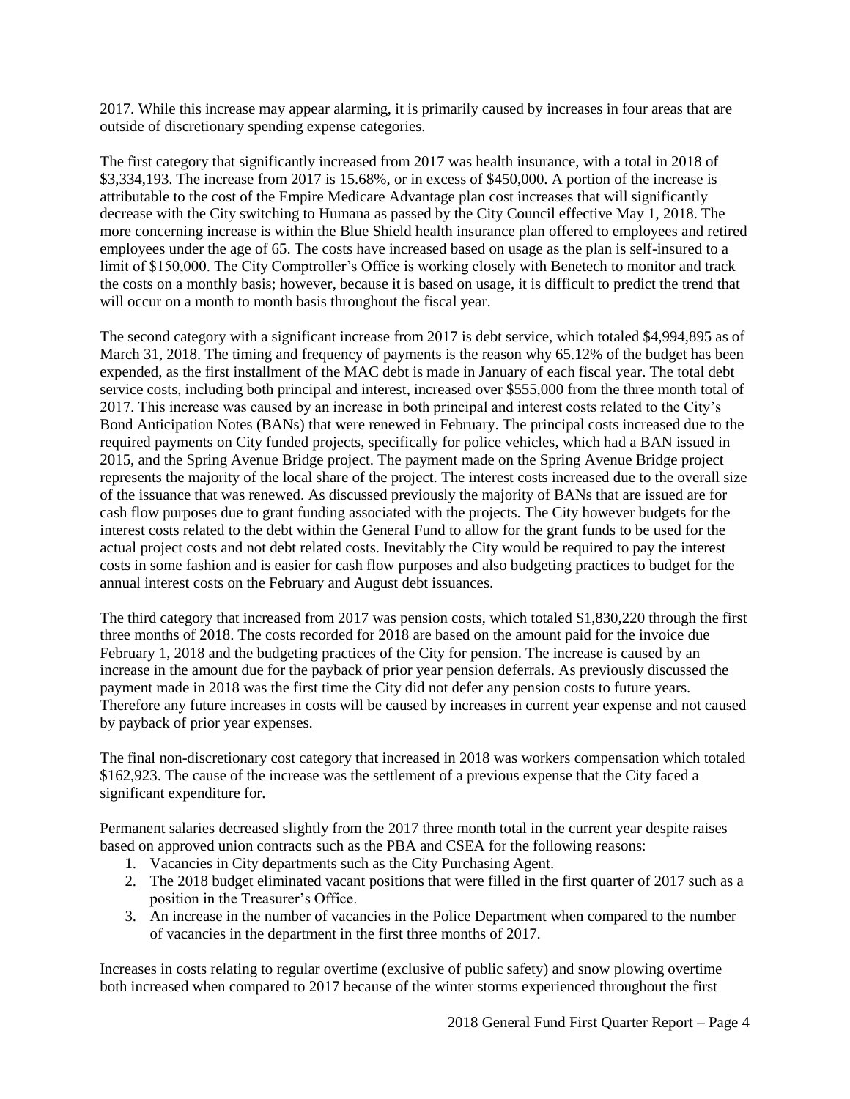2017. While this increase may appear alarming, it is primarily caused by increases in four areas that are outside of discretionary spending expense categories.

The first category that significantly increased from 2017 was health insurance, with a total in 2018 of \$3,334,193. The increase from 2017 is 15.68%, or in excess of \$450,000. A portion of the increase is attributable to the cost of the Empire Medicare Advantage plan cost increases that will significantly decrease with the City switching to Humana as passed by the City Council effective May 1, 2018. The more concerning increase is within the Blue Shield health insurance plan offered to employees and retired employees under the age of 65. The costs have increased based on usage as the plan is self-insured to a limit of \$150,000. The City Comptroller's Office is working closely with Benetech to monitor and track the costs on a monthly basis; however, because it is based on usage, it is difficult to predict the trend that will occur on a month to month basis throughout the fiscal year.

The second category with a significant increase from 2017 is debt service, which totaled \$4,994,895 as of March 31, 2018. The timing and frequency of payments is the reason why 65.12% of the budget has been expended, as the first installment of the MAC debt is made in January of each fiscal year. The total debt service costs, including both principal and interest, increased over \$555,000 from the three month total of 2017. This increase was caused by an increase in both principal and interest costs related to the City's Bond Anticipation Notes (BANs) that were renewed in February. The principal costs increased due to the required payments on City funded projects, specifically for police vehicles, which had a BAN issued in 2015, and the Spring Avenue Bridge project. The payment made on the Spring Avenue Bridge project represents the majority of the local share of the project. The interest costs increased due to the overall size of the issuance that was renewed. As discussed previously the majority of BANs that are issued are for cash flow purposes due to grant funding associated with the projects. The City however budgets for the interest costs related to the debt within the General Fund to allow for the grant funds to be used for the actual project costs and not debt related costs. Inevitably the City would be required to pay the interest costs in some fashion and is easier for cash flow purposes and also budgeting practices to budget for the annual interest costs on the February and August debt issuances.

The third category that increased from 2017 was pension costs, which totaled \$1,830,220 through the first three months of 2018. The costs recorded for 2018 are based on the amount paid for the invoice due February 1, 2018 and the budgeting practices of the City for pension. The increase is caused by an increase in the amount due for the payback of prior year pension deferrals. As previously discussed the payment made in 2018 was the first time the City did not defer any pension costs to future years. Therefore any future increases in costs will be caused by increases in current year expense and not caused by payback of prior year expenses.

The final non-discretionary cost category that increased in 2018 was workers compensation which totaled \$162,923. The cause of the increase was the settlement of a previous expense that the City faced a significant expenditure for.

Permanent salaries decreased slightly from the 2017 three month total in the current year despite raises based on approved union contracts such as the PBA and CSEA for the following reasons:

- 1. Vacancies in City departments such as the City Purchasing Agent.
- 2. The 2018 budget eliminated vacant positions that were filled in the first quarter of 2017 such as a position in the Treasurer's Office.
- 3. An increase in the number of vacancies in the Police Department when compared to the number of vacancies in the department in the first three months of 2017.

Increases in costs relating to regular overtime (exclusive of public safety) and snow plowing overtime both increased when compared to 2017 because of the winter storms experienced throughout the first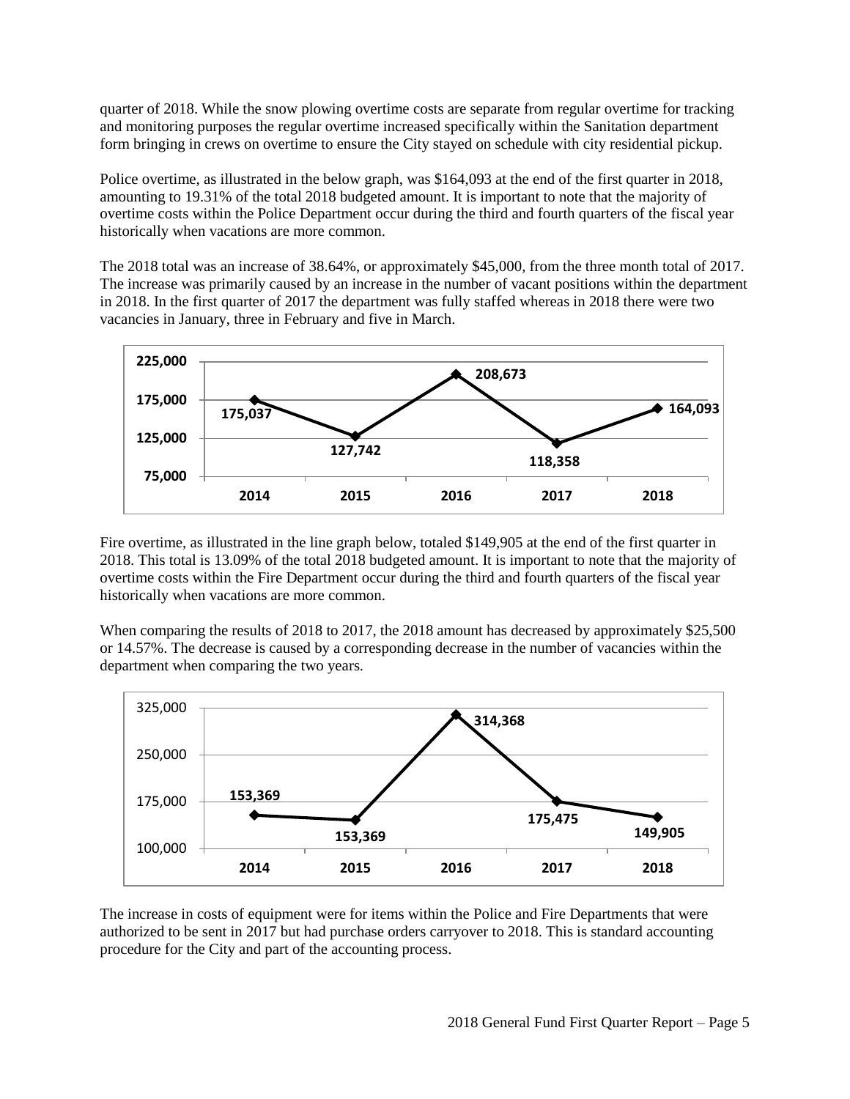quarter of 2018. While the snow plowing overtime costs are separate from regular overtime for tracking and monitoring purposes the regular overtime increased specifically within the Sanitation department form bringing in crews on overtime to ensure the City stayed on schedule with city residential pickup.

Police overtime, as illustrated in the below graph, was \$164,093 at the end of the first quarter in 2018, amounting to 19.31% of the total 2018 budgeted amount. It is important to note that the majority of overtime costs within the Police Department occur during the third and fourth quarters of the fiscal year historically when vacations are more common.

The 2018 total was an increase of 38.64%, or approximately \$45,000, from the three month total of 2017. The increase was primarily caused by an increase in the number of vacant positions within the department in 2018. In the first quarter of 2017 the department was fully staffed whereas in 2018 there were two vacancies in January, three in February and five in March.



Fire overtime, as illustrated in the line graph below, totaled \$149,905 at the end of the first quarter in 2018. This total is 13.09% of the total 2018 budgeted amount. It is important to note that the majority of overtime costs within the Fire Department occur during the third and fourth quarters of the fiscal year historically when vacations are more common.

When comparing the results of 2018 to 2017, the 2018 amount has decreased by approximately \$25,500 or 14.57%. The decrease is caused by a corresponding decrease in the number of vacancies within the department when comparing the two years.



The increase in costs of equipment were for items within the Police and Fire Departments that were authorized to be sent in 2017 but had purchase orders carryover to 2018. This is standard accounting procedure for the City and part of the accounting process.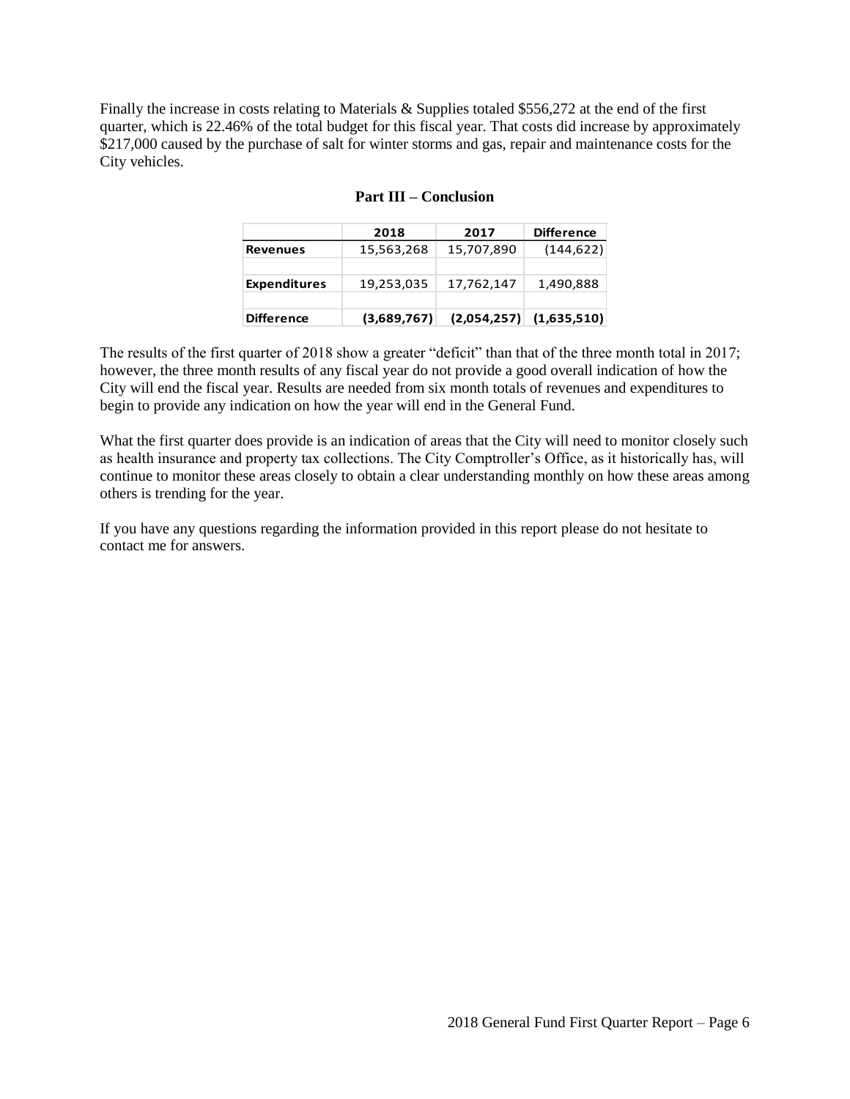Finally the increase in costs relating to Materials & Supplies totaled \$556,272 at the end of the first quarter, which is 22.46% of the total budget for this fiscal year. That costs did increase by approximately \$217,000 caused by the purchase of salt for winter storms and gas, repair and maintenance costs for the City vehicles.

|                     | 2018        | 2017       | <b>Difference</b>           |
|---------------------|-------------|------------|-----------------------------|
| <b>Revenues</b>     | 15,563,268  | 15,707,890 | (144, 622)                  |
|                     |             |            |                             |
| <b>Expenditures</b> | 19,253,035  | 17,762,147 | 1,490,888                   |
|                     |             |            |                             |
| <b>Difference</b>   | (3,689,767) |            | $(2,054,257)$ $(1,635,510)$ |

# **Part III – Conclusion**

The results of the first quarter of 2018 show a greater "deficit" than that of the three month total in 2017; however, the three month results of any fiscal year do not provide a good overall indication of how the City will end the fiscal year. Results are needed from six month totals of revenues and expenditures to begin to provide any indication on how the year will end in the General Fund.

What the first quarter does provide is an indication of areas that the City will need to monitor closely such as health insurance and property tax collections. The City Comptroller's Office, as it historically has, will continue to monitor these areas closely to obtain a clear understanding monthly on how these areas among others is trending for the year.

If you have any questions regarding the information provided in this report please do not hesitate to contact me for answers.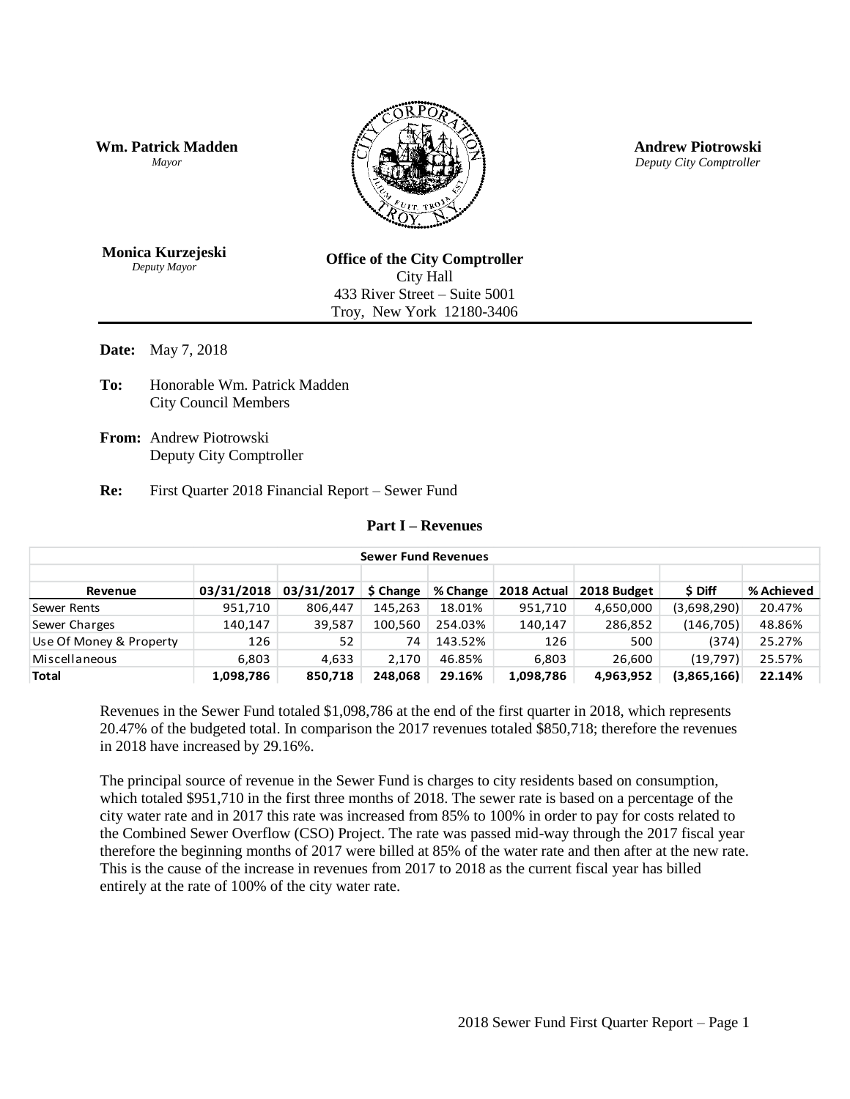**Wm. Patrick Madden** *Mayor*



**Andrew Piotrowski** *Deputy City Comptroller*

**Monica Kurzejeski** *Deputy Mayor*

**Office of the City Comptroller** City Hall 433 River Street – Suite 5001 Troy, New York 12180-3406

**Date:** May 7, 2018

- **To:** Honorable Wm. Patrick Madden City Council Members
- **From:** Andrew Piotrowski Deputy City Comptroller
- **Re:** First Quarter 2018 Financial Report Sewer Fund

### **Part I – Revenues**

| <b>Sewer Fund Revenues</b> |            |            |           |          |             |             |             |            |  |
|----------------------------|------------|------------|-----------|----------|-------------|-------------|-------------|------------|--|
|                            |            |            |           |          |             |             |             |            |  |
| Revenue                    | 03/31/2018 | 03/31/2017 | \$ Change | % Change | 2018 Actual | 2018 Budget | \$ Diff     | % Achieved |  |
| Sewer Rents                | 951.710    | 806,447    | 145.263   | 18.01%   | 951,710     | 4,650,000   | (3,698,290) | 20.47%     |  |
| Sewer Charges              | 140,147    | 39,587     | 100.560   | 254.03%  | 140,147     | 286,852     | (146,705)   | 48.86%     |  |
| Use Of Money & Property    | 126        | 52         | 74        | 143.52%  | 126         | 500         | (374)       | 25.27%     |  |
| Miscellaneous              | 6,803      | 4,633      | 2.170     | 46.85%   | 6,803       | 26.600      | (19,797)    | 25.57%     |  |
| <b>Total</b>               | 1,098,786  | 850,718    | 248.068   | 29.16%   | 1,098,786   | 4.963.952   | (3,865,166) | 22.14%     |  |

Revenues in the Sewer Fund totaled \$1,098,786 at the end of the first quarter in 2018, which represents 20.47% of the budgeted total. In comparison the 2017 revenues totaled \$850,718; therefore the revenues in 2018 have increased by 29.16%.

The principal source of revenue in the Sewer Fund is charges to city residents based on consumption, which totaled \$951,710 in the first three months of 2018. The sewer rate is based on a percentage of the city water rate and in 2017 this rate was increased from 85% to 100% in order to pay for costs related to the Combined Sewer Overflow (CSO) Project. The rate was passed mid-way through the 2017 fiscal year therefore the beginning months of 2017 were billed at 85% of the water rate and then after at the new rate. This is the cause of the increase in revenues from 2017 to 2018 as the current fiscal year has billed entirely at the rate of 100% of the city water rate.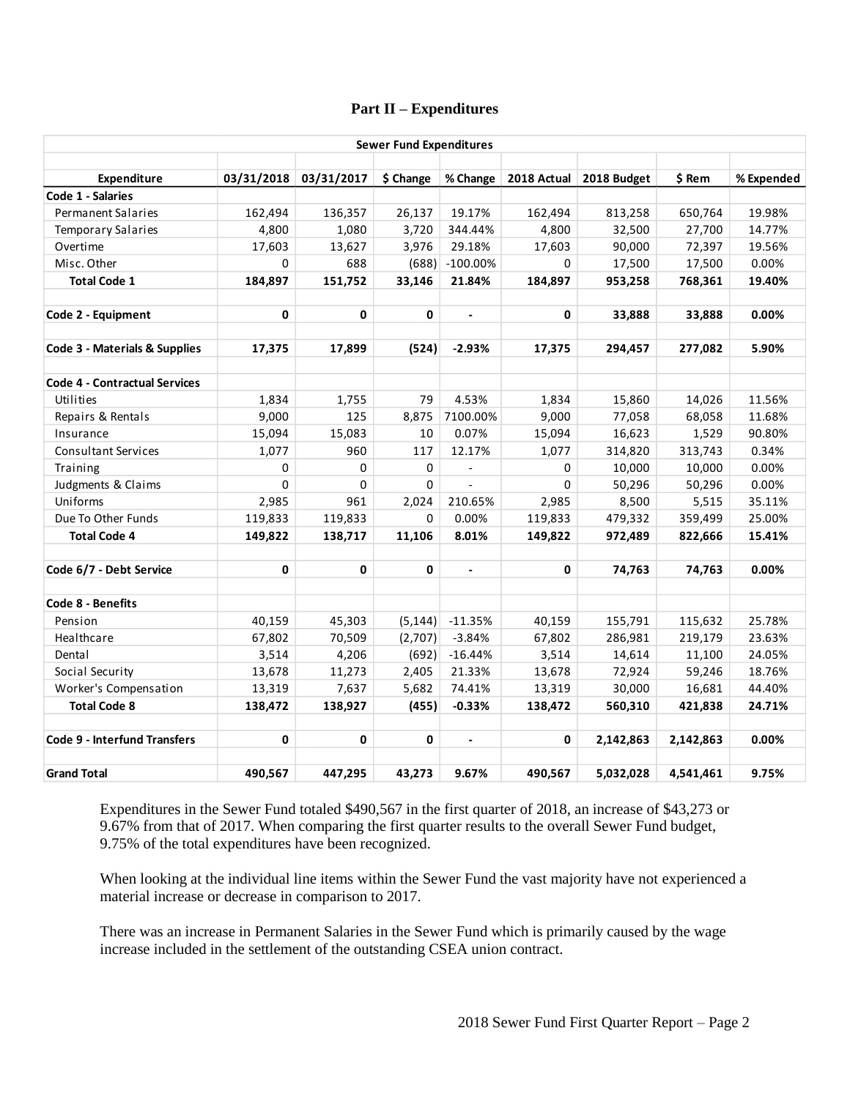# **Part II – Expenditures**

| <b>Sewer Fund Expenditures</b>       |              |                       |             |                |             |             |           |            |
|--------------------------------------|--------------|-----------------------|-------------|----------------|-------------|-------------|-----------|------------|
| Expenditure                          |              | 03/31/2018 03/31/2017 | \$ Change   | % Change       | 2018 Actual | 2018 Budget | \$ Rem    | % Expended |
| Code 1 - Salaries                    |              |                       |             |                |             |             |           |            |
| <b>Permanent Salaries</b>            | 162,494      | 136,357               | 26,137      | 19.17%         | 162,494     | 813,258     | 650,764   | 19.98%     |
| Temporary Salaries                   | 4,800        | 1,080                 | 3,720       | 344.44%        | 4,800       | 32,500      | 27,700    | 14.77%     |
| Overtime                             | 17,603       | 13,627                | 3,976       | 29.18%         | 17,603      | 90,000      | 72,397    | 19.56%     |
| Misc. Other                          | $\Omega$     | 688                   | (688)       | $-100.00\%$    | $\Omega$    | 17,500      | 17,500    | 0.00%      |
| <b>Total Code 1</b>                  | 184,897      | 151,752               | 33,146      | 21.84%         | 184,897     | 953,258     | 768,361   | 19.40%     |
| Code 2 - Equipment                   | 0            | $\mathbf{0}$          | 0           | $\blacksquare$ | 0           | 33,888      | 33,888    | 0.00%      |
| Code 3 - Materials & Supplies        | 17,375       | 17,899                | (524)       | $-2.93%$       | 17,375      | 294,457     | 277,082   | 5.90%      |
| <b>Code 4 - Contractual Services</b> |              |                       |             |                |             |             |           |            |
| Utilities                            | 1,834        | 1,755                 | 79          | 4.53%          | 1,834       | 15,860      | 14,026    | 11.56%     |
| Repairs & Rentals                    | 9,000        | 125                   | 8,875       | 7100.00%       | 9,000       | 77,058      | 68,058    | 11.68%     |
| Insurance                            | 15,094       | 15,083                | 10          | 0.07%          | 15,094      | 16,623      | 1,529     | 90.80%     |
| <b>Consultant Services</b>           | 1,077        | 960                   | 117         | 12.17%         | 1,077       | 314,820     | 313,743   | 0.34%      |
| Training                             | 0            | 0                     | $\mathbf 0$ | $\blacksquare$ | 0           | 10,000      | 10,000    | 0.00%      |
| Judgments & Claims                   | $\mathbf{0}$ | $\Omega$              | $\Omega$    | $\blacksquare$ | $\Omega$    | 50,296      | 50,296    | 0.00%      |
| Uniforms                             | 2,985        | 961                   | 2,024       | 210.65%        | 2,985       | 8,500       | 5,515     | 35.11%     |
| Due To Other Funds                   | 119,833      | 119,833               | $\Omega$    | 0.00%          | 119,833     | 479,332     | 359,499   | 25.00%     |
| <b>Total Code 4</b>                  | 149,822      | 138,717               | 11,106      | 8.01%          | 149,822     | 972,489     | 822,666   | 15.41%     |
| Code 6/7 - Debt Service              | 0            | 0                     | 0           |                | 0           | 74,763      | 74,763    | 0.00%      |
| Code 8 - Benefits                    |              |                       |             |                |             |             |           |            |
| Pension                              | 40,159       | 45,303                | (5, 144)    | $-11.35%$      | 40,159      | 155,791     | 115,632   | 25.78%     |
| Healthcare                           | 67,802       | 70,509                | (2,707)     | $-3.84%$       | 67,802      | 286,981     | 219,179   | 23.63%     |
| Dental                               | 3,514        | 4,206                 | (692)       | $-16.44%$      | 3,514       | 14,614      | 11,100    | 24.05%     |
| Social Security                      | 13,678       | 11,273                | 2,405       | 21.33%         | 13,678      | 72,924      | 59,246    | 18.76%     |
| Worker's Compensation                | 13,319       | 7,637                 | 5,682       | 74.41%         | 13,319      | 30,000      | 16,681    | 44.40%     |
| <b>Total Code 8</b>                  | 138,472      | 138,927               | (455)       | $-0.33%$       | 138,472     | 560,310     | 421,838   | 24.71%     |
| <b>Code 9 - Interfund Transfers</b>  | 0            | 0                     | 0           | $\blacksquare$ | 0           | 2,142,863   | 2,142,863 | 0.00%      |
| <b>Grand Total</b>                   | 490,567      | 447,295               | 43,273      | 9.67%          | 490,567     | 5,032,028   | 4,541,461 | 9.75%      |

Expenditures in the Sewer Fund totaled \$490,567 in the first quarter of 2018, an increase of \$43,273 or 9.67% from that of 2017. When comparing the first quarter results to the overall Sewer Fund budget, 9.75% of the total expenditures have been recognized.

When looking at the individual line items within the Sewer Fund the vast majority have not experienced a material increase or decrease in comparison to 2017.

There was an increase in Permanent Salaries in the Sewer Fund which is primarily caused by the wage increase included in the settlement of the outstanding CSEA union contract.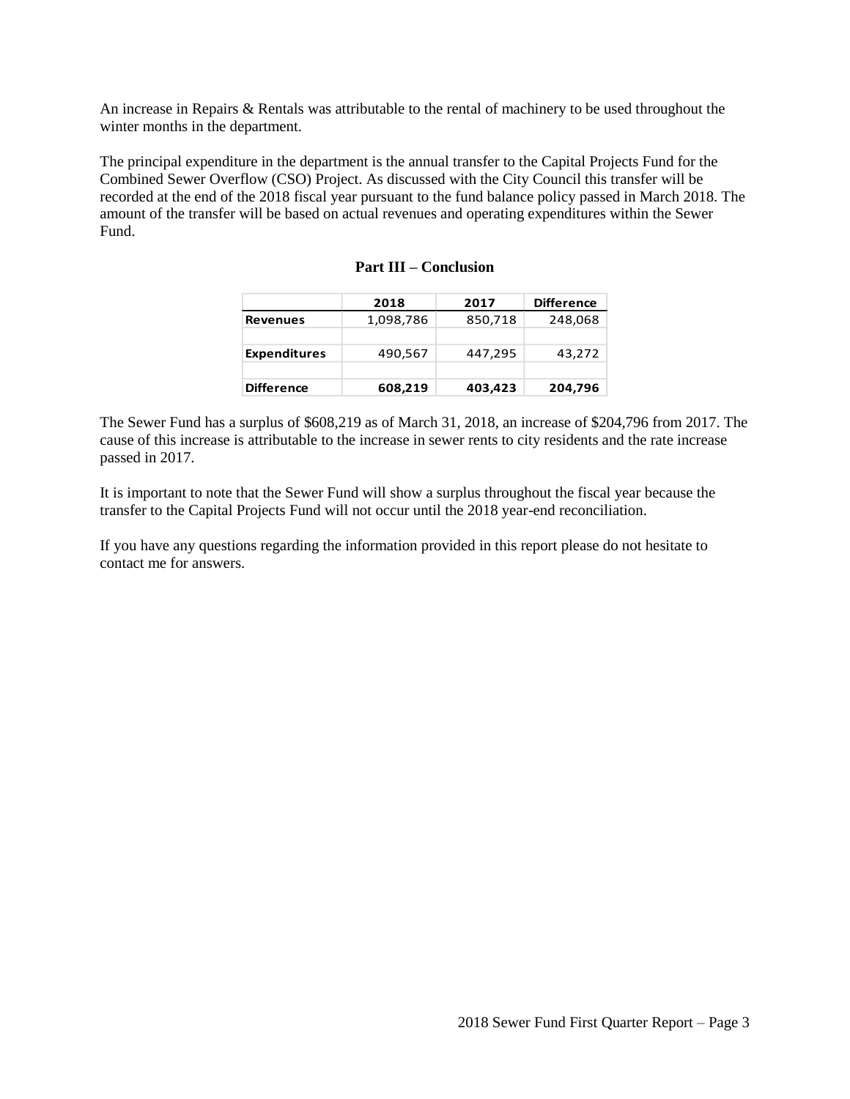An increase in Repairs & Rentals was attributable to the rental of machinery to be used throughout the winter months in the department.

The principal expenditure in the department is the annual transfer to the Capital Projects Fund for the Combined Sewer Overflow (CSO) Project. As discussed with the City Council this transfer will be recorded at the end of the 2018 fiscal year pursuant to the fund balance policy passed in March 2018. The amount of the transfer will be based on actual revenues and operating expenditures within the Sewer Fund.

|                     | 2018      | 2017    | <b>Difference</b> |
|---------------------|-----------|---------|-------------------|
| <b>Revenues</b>     | 1,098,786 | 850,718 | 248,068           |
|                     |           |         |                   |
| <b>Expenditures</b> | 490,567   | 447,295 | 43,272            |
|                     |           |         |                   |
| <b>Difference</b>   | 608,219   | 403,423 | 204,796           |

The Sewer Fund has a surplus of \$608,219 as of March 31, 2018, an increase of \$204,796 from 2017. The cause of this increase is attributable to the increase in sewer rents to city residents and the rate increase passed in 2017.

It is important to note that the Sewer Fund will show a surplus throughout the fiscal year because the transfer to the Capital Projects Fund will not occur until the 2018 year-end reconciliation.

If you have any questions regarding the information provided in this report please do not hesitate to contact me for answers.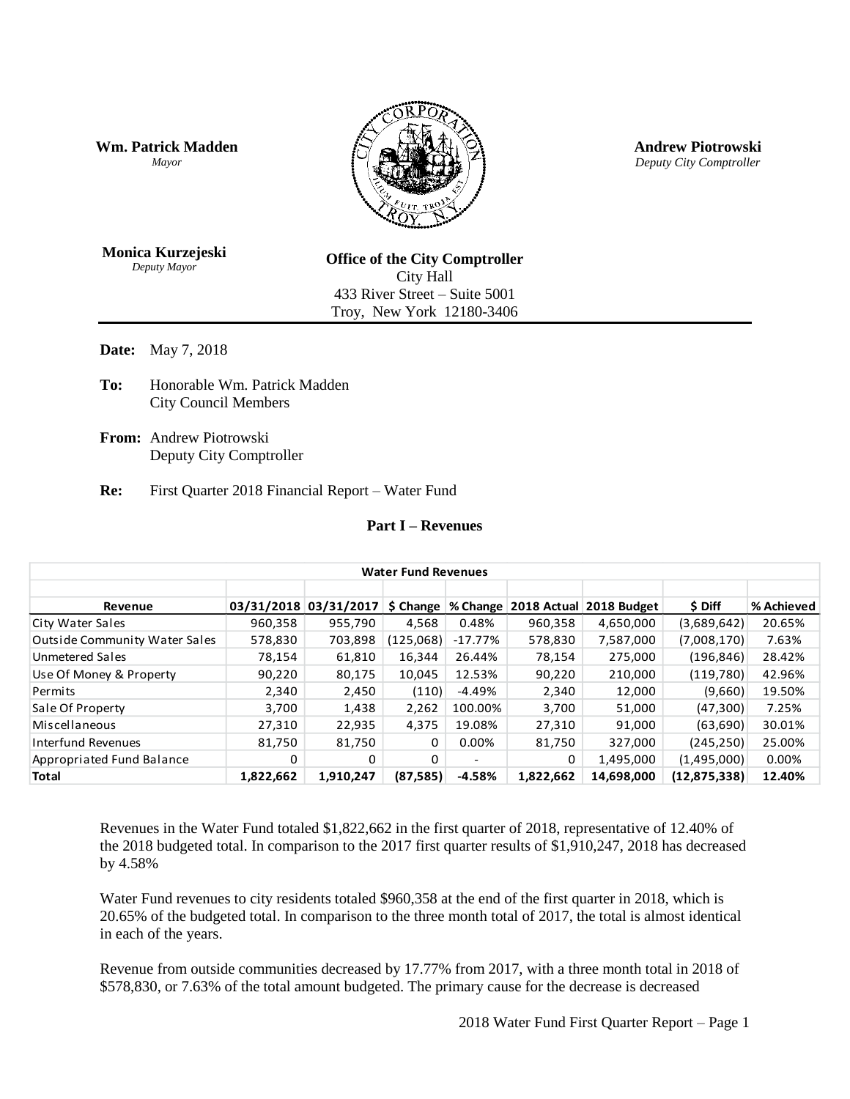**Wm. Patrick Madden** *Mayor*



**Andrew Piotrowski** *Deputy City Comptroller*

**Monica Kurzejeski** *Deputy Mayor*

**Office of the City Comptroller** City Hall 433 River Street – Suite 5001 Troy, New York 12180-3406

**Date:** May 7, 2018

- **To:** Honorable Wm. Patrick Madden City Council Members
- **From:** Andrew Piotrowski Deputy City Comptroller
- **Re:** First Quarter 2018 Financial Report Water Fund

## **Part I – Revenues**

| <b>Water Fund Revenues</b>           |            |            |           |                          |           |                         |                |            |
|--------------------------------------|------------|------------|-----------|--------------------------|-----------|-------------------------|----------------|------------|
| Revenue                              | 03/31/2018 | 03/31/2017 | \$ Change | % Change                 |           | 2018 Actual 2018 Budget | \$ Diff        | % Achieved |
| City Water Sales                     | 960,358    | 955,790    | 4.568     | 0.48%                    | 960,358   | 4,650,000               | (3,689,642)    | 20.65%     |
| <b>Outside Community Water Sales</b> | 578,830    | 703,898    | (125,068) | $-17.77\%$               | 578,830   | 7,587,000               | (7,008,170)    | 7.63%      |
| <b>Unmetered Sales</b>               | 78,154     | 61,810     | 16.344    | 26.44%                   | 78,154    | 275,000                 | (196, 846)     | 28.42%     |
| Use Of Money & Property              | 90,220     | 80,175     | 10,045    | 12.53%                   | 90,220    | 210,000                 | (119,780)      | 42.96%     |
| Permits                              | 2,340      | 2,450      | (110)     | -4.49%                   | 2,340     | 12,000                  | (9,660)        | 19.50%     |
| Sale Of Property                     | 3,700      | 1,438      | 2,262     | 100.00%                  | 3,700     | 51,000                  | (47,300)       | 7.25%      |
| Miscellaneous                        | 27,310     | 22,935     | 4,375     | 19.08%                   | 27,310    | 91,000                  | (63, 690)      | 30.01%     |
| Interfund Revenues                   | 81,750     | 81,750     | 0         | 0.00%                    | 81,750    | 327,000                 | (245, 250)     | 25.00%     |
| Appropriated Fund Balance            | 0          | 0          | 0         | $\overline{\phantom{a}}$ | 0         | 1,495,000               | (1,495,000)    | $0.00\%$   |
| <b>Total</b>                         | 1,822,662  | 1,910,247  | (87, 585) | $-4.58%$                 | 1,822,662 | 14,698,000              | (12, 875, 338) | 12.40%     |

Revenues in the Water Fund totaled \$1,822,662 in the first quarter of 2018, representative of 12.40% of the 2018 budgeted total. In comparison to the 2017 first quarter results of \$1,910,247, 2018 has decreased by 4.58%

Water Fund revenues to city residents totaled \$960,358 at the end of the first quarter in 2018, which is 20.65% of the budgeted total. In comparison to the three month total of 2017, the total is almost identical in each of the years.

Revenue from outside communities decreased by 17.77% from 2017, with a three month total in 2018 of \$578,830, or 7.63% of the total amount budgeted. The primary cause for the decrease is decreased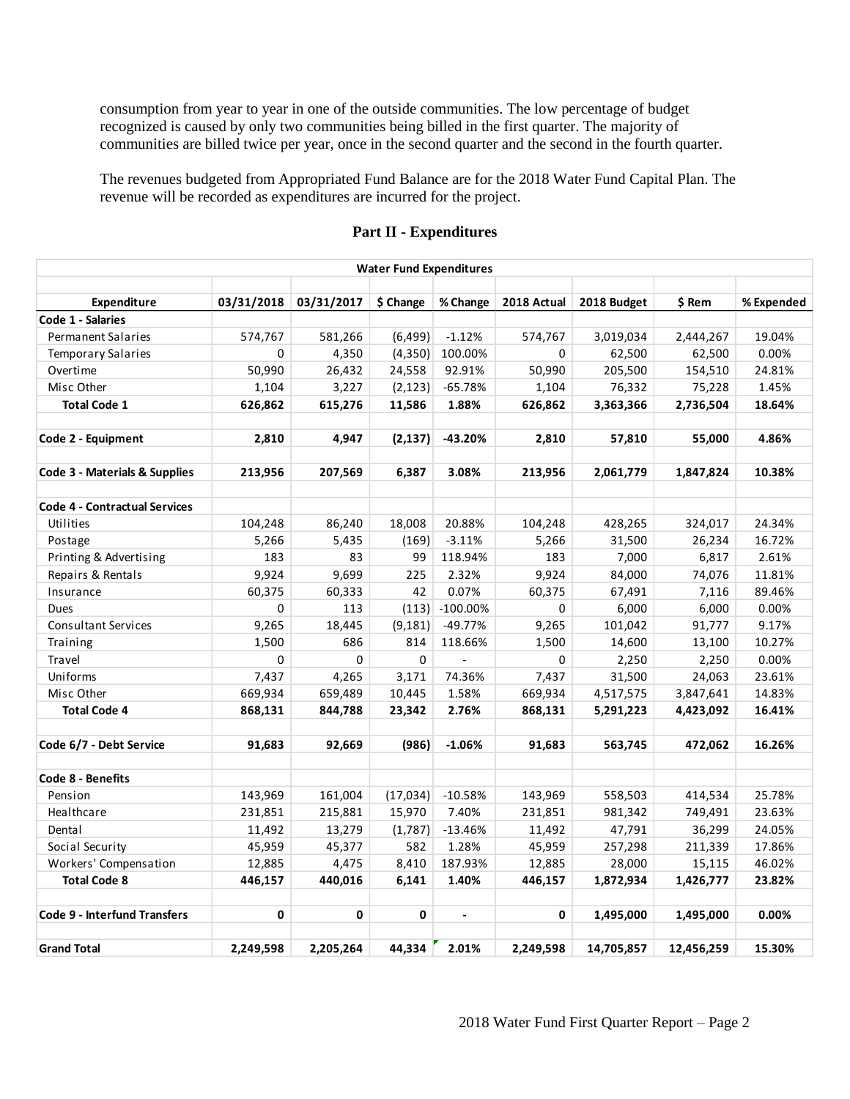consumption from year to year in one of the outside communities. The low percentage of budget recognized is caused by only two communities being billed in the first quarter. The majority of communities are billed twice per year, once in the second quarter and the second in the fourth quarter.

The revenues budgeted from Appropriated Fund Balance are for the 2018 Water Fund Capital Plan. The revenue will be recorded as expenditures are incurred for the project.

| <b>Water Fund Expenditures</b>       |            |            |           |                |             |             |            |            |
|--------------------------------------|------------|------------|-----------|----------------|-------------|-------------|------------|------------|
| Expenditure                          | 03/31/2018 | 03/31/2017 | \$ Change | % Change       | 2018 Actual | 2018 Budget | \$ Rem     | % Expended |
| Code 1 - Salaries                    |            |            |           |                |             |             |            |            |
| <b>Permanent Salaries</b>            | 574,767    | 581,266    | (6, 499)  | $-1.12%$       | 574,767     | 3,019,034   | 2,444,267  | 19.04%     |
| <b>Temporary Salaries</b>            | $\Omega$   | 4,350      | (4,350)   | 100.00%        | $\Omega$    | 62,500      | 62,500     | 0.00%      |
| Overtime                             | 50,990     | 26,432     | 24,558    | 92.91%         | 50,990      | 205,500     | 154,510    | 24.81%     |
| Misc Other                           | 1,104      | 3,227      | (2, 123)  | $-65.78%$      | 1,104       | 76,332      | 75,228     | 1.45%      |
| <b>Total Code 1</b>                  | 626,862    | 615,276    | 11,586    | 1.88%          | 626,862     | 3,363,366   | 2,736,504  | 18.64%     |
| Code 2 - Equipment                   | 2,810      | 4,947      | (2, 137)  | -43.20%        | 2,810       | 57,810      | 55,000     | 4.86%      |
| Code 3 - Materials & Supplies        | 213,956    | 207,569    | 6,387     | 3.08%          | 213,956     | 2,061,779   | 1,847,824  | 10.38%     |
| <b>Code 4 - Contractual Services</b> |            |            |           |                |             |             |            |            |
| Utilities                            | 104,248    | 86,240     | 18,008    | 20.88%         | 104,248     | 428,265     | 324,017    | 24.34%     |
| Postage                              | 5,266      | 5,435      | (169)     | $-3.11%$       | 5,266       | 31,500      | 26,234     | 16.72%     |
| Printing & Advertising               | 183        | 83         | 99        | 118.94%        | 183         | 7,000       | 6,817      | 2.61%      |
| Repairs & Rentals                    | 9,924      | 9,699      | 225       | 2.32%          | 9,924       | 84,000      | 74,076     | 11.81%     |
| Insurance                            | 60,375     | 60,333     | 42        | 0.07%          | 60,375      | 67,491      | 7,116      | 89.46%     |
| Dues                                 | 0          | 113        | (113)     | $-100.00%$     | $\mathbf 0$ | 6,000       | 6,000      | 0.00%      |
| <b>Consultant Services</b>           | 9,265      | 18,445     | (9, 181)  | $-49.77%$      | 9,265       | 101,042     | 91,777     | 9.17%      |
| Training                             | 1,500      | 686        | 814       | 118.66%        | 1,500       | 14,600      | 13,100     | 10.27%     |
| Travel                               | 0          | 0          | $\Omega$  |                | $\mathbf 0$ | 2,250       | 2,250      | 0.00%      |
| Uniforms                             | 7,437      | 4,265      | 3,171     | 74.36%         | 7,437       | 31,500      | 24,063     | 23.61%     |
| Misc Other                           | 669,934    | 659,489    | 10,445    | 1.58%          | 669,934     | 4,517,575   | 3,847,641  | 14.83%     |
| <b>Total Code 4</b>                  | 868,131    | 844,788    | 23,342    | 2.76%          | 868,131     | 5,291,223   | 4,423,092  | 16.41%     |
| Code 6/7 - Debt Service              | 91,683     | 92,669     | (986)     | $-1.06%$       | 91,683      | 563,745     | 472,062    | 16.26%     |
| Code 8 - Benefits                    |            |            |           |                |             |             |            |            |
| Pension                              | 143,969    | 161,004    | (17, 034) | $-10.58%$      | 143,969     | 558,503     | 414,534    | 25.78%     |
| Healthcare                           | 231,851    | 215,881    | 15,970    | 7.40%          | 231,851     | 981,342     | 749,491    | 23.63%     |
| Dental                               | 11,492     | 13,279     | (1,787)   | $-13.46%$      | 11,492      | 47,791      | 36,299     | 24.05%     |
| Social Security                      | 45,959     | 45,377     | 582       | 1.28%          | 45,959      | 257,298     | 211,339    | 17.86%     |
| Workers' Compensation                | 12,885     | 4,475      | 8,410     | 187.93%        | 12,885      | 28,000      | 15,115     | 46.02%     |
| <b>Total Code 8</b>                  | 446,157    | 440,016    | 6,141     | 1.40%          | 446,157     | 1,872,934   | 1,426,777  | 23.82%     |
| <b>Code 9 - Interfund Transfers</b>  | 0          | 0          | 0         | $\blacksquare$ | 0           | 1,495,000   | 1,495,000  | $0.00\%$   |
| <b>Grand Total</b>                   | 2,249,598  | 2,205,264  | 44,334    | 2.01%          | 2,249,598   | 14,705,857  | 12,456,259 | 15.30%     |

#### **Part II - Expenditures**